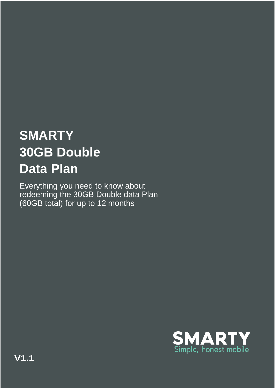## **SMARTY 30GB Double Data Plan**

Everything you need to know about redeeming the 30GB Double data Plan (60GB total) for up to 12 months

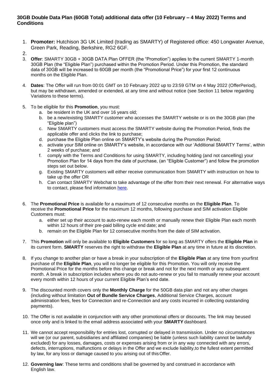## **30GB Double Data Plan (60GB Total) additional data offer (10 February – 4 May 2022) Terms and Conditions**

- 1. **Promoter:** Hutchison 3G UK Limited (trading as SMARTY) of Registered office: 450 Longwater Avenue, Green Park, Reading, Berkshire, RG2 6GF.
- $\mathcal{P}$
- 3. **Offer**: SMARTY 30GB + 30GB DATA Plan OFFER (the "Promotion") applies to the current SMARTY 1-month 30GB Plan (the "Eligible Plan") purchased within the Promotion Period. Under this Promotion, the standard data of 30GB will be increased to 60GB per month (the "Promotional Price") for your first 12 continuous months on the Eligible Plan.
- 4. **Dates**: The Offer will run from 00:01 GMT on 10 February 2022 up to 23:59 GTM on 4 May 2022 (OfferPeriod), but may be withdrawn, amended or extended, at any time and without notice (see Section 11 below regarding Variations to these terms).
- 5. To be eligible for this **Promotion**, you must:
	- a. be resident in the UK and over 16 years old;
	- b. be a new/existing SMARTY customer who accesses the SMARTY website or is on the 30GB plan (the "Eligible plan")
	- c. New SMARTY customers must access the SMARTY website during the Promotion Period, finds the applicable offer and clicks the link to purchase;
	- d. purchase the Eligible Plan online on SMARTY's website during the Promotion Period;
	- e. activate your SIM online on SMARTY's website, in accordance with our 'Additional SMARTY Terms', within 2 weeks of purchase; and
	- f. comply with the Terms and Conditions for using SMARTY, including holding (and not cancelling) your Promotion Plan for 14 days from the date of purchase, (an "Eligible Customer") and follow the promotion steps set out below.
	- g. Existing SMARTY customers will either receive communication from SMARTY with instruction on how to take up the offer OR
	- h. Can contact SMARTY Webchat to take advantage of the offer from their next renewal. For alternative ways to contact, please find information [here.](https://help.smarty.co.uk/en/articles/967873-using-the-smarty-website)
- 6. The **Promotional Price** is available for a maximum of 12 consecutive months on the **Eligible Plan**. To receive the **Promotional Price** for the maximum 12 months, following purchase and SIM activation Eligible Customers must:
	- a. either set up their account to auto-renew each month or manually renew their Eligible Plan each month within 12 hours of their pre-paid billing cycle end date; and
	- b. remain on the Eligible Plan for 12 consecutive months from the date of SIM activation.
- 7. This **Promotion** will only be available to **Eligible Customers** for so long as SMARTY offers the **Eligible Plan** in its current form. **SMARTY** reserves the right to withdraw the **Eligible Plan** at any time in future at its discretion.
- 8. If you change to another plan or have a break in your subscription of the **Eligible Plan** at any time from yourfirst purchase of the **Eligible Plan**, you will no longer be eligible for this Promotion. You will only receive the Promotional Price for the months before this change or break and not for the next month or any subsequent month. A break in subscription includes where you do not auto-renew or you fail to manually renew your account every month within 12 hours of your current Eligible Plan's end date.
- 9. The discounted month covers only the **Monthly Charge** for the 50GB data plan and not any other charges (including without limitation **Out of Bundle Service Charges**, Additional Service Charges, account administration fees, fees for Connection and re-Connection and any costs incurred in collecting outstanding payments).
- 10. The Offer is not available in conjunction with any other promotional offers or discounts. The link may beused once only and is linked to the email address associated with your **SMARTY** dashboard.
- 11. We cannot accept responsibility for entries lost, corrupted or delayed in transmission. Under no circumstances will we (or our parent, subsidiaries and affiliated companies) be liable (unless such liability cannot be lawfully excluded) for any losses, damages, costs or expenses arising from or in any way connected with any errors, defects, interruptions, malfunctions or delays in the Offer and we exclude liability,to the fullest extent permitted by law, for any loss or damage caused to you arising out of thisOffer.
- 12. **Governing law**: These terms and conditions shall be governed by and construed in accordance with English law.